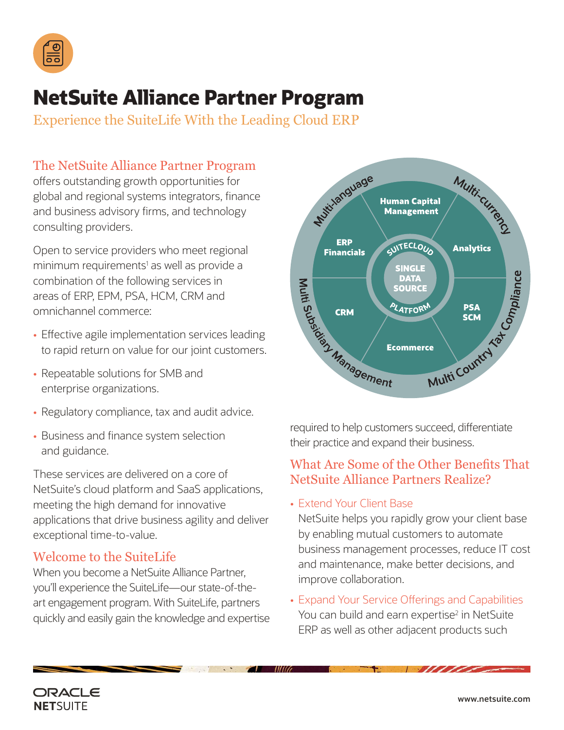

# **NetSuite Alliance Partner Program**

Experience the SuiteLife With the Leading Cloud ERP

# The NetSuite Alliance Partner Program

offers outstanding growth opportunities for global and regional systems integrators, finance and business advisory firms, and technology consulting providers.

Open to service providers who meet regional minimum requirements<sup>1</sup> as well as provide a combination of the following services in areas of ERP, EPM, PSA, HCM, CRM and omnichannel commerce:

- Effective agile implementation services leading to rapid return on value for our joint customers.
- Repeatable solutions for SMB and enterprise organizations.
- Regulatory compliance, tax and audit advice.
- Business and finance system selection and guidance.

These services are delivered on a core of NetSuite's cloud platform and SaaS applications, meeting the high demand for innovative applications that drive business agility and deliver exceptional time-to-value.

## Welcome to the SuiteLife

When you become a NetSuite Alliance Partner, you'll experience the SuiteLife—our state-of-theart engagement program. With SuiteLife, partners quickly and easily gain the knowledge and expertise



their practice and expand their business.

# What Are Some of the Other Benefits That NetSuite Alliance Partners Realize?

• Extend Your Client Base

NetSuite helps you rapidly grow your client base by enabling mutual customers to automate business management processes, reduce IT cost and maintenance, make better decisions, and improve collaboration.

• Expand Your Service Offerings and Capabilities You can build and earn expertise<sup>2</sup> in NetSuite ERP as well as other adjacent products such

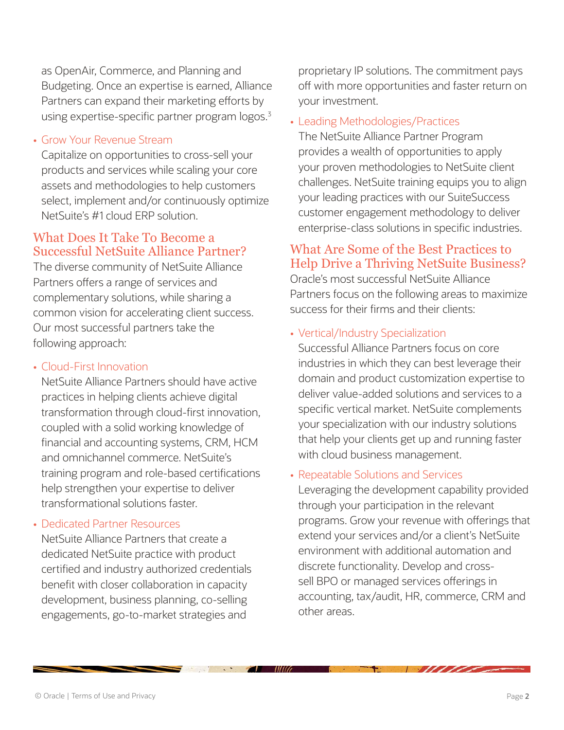as OpenAir, Commerce, and Planning and Budgeting. Once an expertise is earned, Alliance Partners can expand their marketing efforts by using expertise-specific partner program  $logos.3$ 

#### • Grow Your Revenue Stream

Capitalize on opportunities to cross-sell your products and services while scaling your core assets and methodologies to help customers select, implement and/or continuously optimize NetSuite's #1 cloud ERP solution.

### What Does It Take To Become a Successful NetSuite Alliance Partner?

The diverse community of NetSuite Alliance Partners offers a range of services and complementary solutions, while sharing a common vision for accelerating client success. Our most successful partners take the following approach:

#### • Cloud-First Innovation

NetSuite Alliance Partners should have active practices in helping clients achieve digital transformation through cloud-first innovation, coupled with a solid working knowledge of financial and accounting systems, CRM, HCM and omnichannel commerce. NetSuite's training program and role-based certifications help strengthen your expertise to deliver transformational solutions faster.

#### • Dedicated Partner Resources

NetSuite Alliance Partners that create a dedicated NetSuite practice with product certified and industry authorized credentials benefit with closer collaboration in capacity development, business planning, co-selling engagements, go-to-market strategies and

proprietary IP solutions. The commitment pays off with more opportunities and faster return on your investment.

#### • Leading Methodologies/Practices

The NetSuite Alliance Partner Program provides a wealth of opportunities to apply your proven methodologies to NetSuite client challenges. NetSuite training equips you to align your leading practices with our SuiteSuccess customer engagement methodology to deliver enterprise-class solutions in specific industries.

# What Are Some of the Best Practices to Help Drive a Thriving NetSuite Business?

Oracle's most successful NetSuite Alliance Partners focus on the following areas to maximize success for their firms and their clients:

• Vertical/Industry Specialization

Successful Alliance Partners focus on core industries in which they can best leverage their domain and product customization expertise to deliver value-added solutions and services to a specific vertical market. NetSuite complements your specialization with our industry solutions that help your clients get up and running faster with cloud business management.

#### • Repeatable Solutions and Services

Leveraging the development capability provided through your participation in the relevant programs. Grow your revenue with offerings that extend your services and/or a client's NetSuite environment with additional automation and discrete functionality. Develop and crosssell BPO or managed services offerings in accounting, tax/audit, HR, commerce, CRM and other areas.